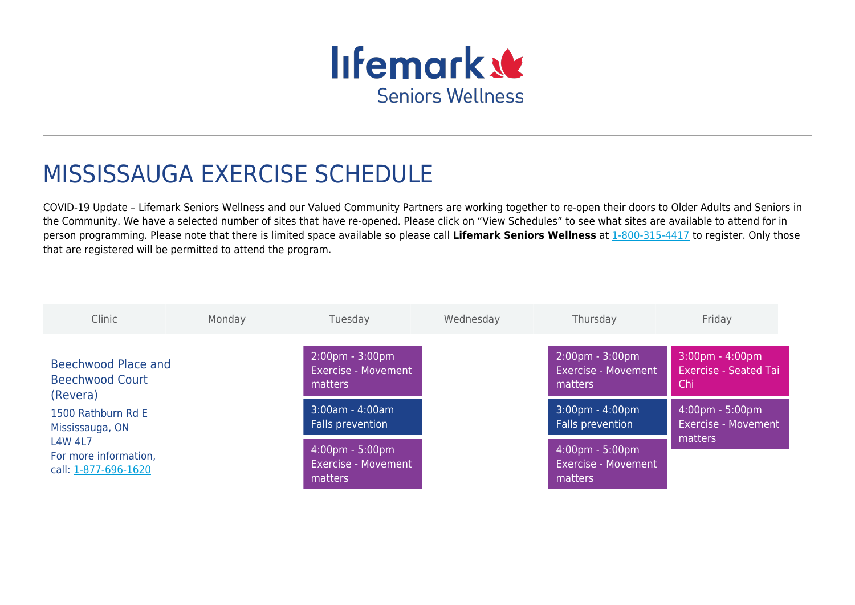

# MISSISSAUGA EXERCISE SCHEDULE

COVID-19 Update – Lifemark Seniors Wellness and our Valued Community Partners are working together to re-open their doors to Older Adults and Seniors in the Community. We have a selected number of sites that have re-opened. Please click on "View Schedules" to see what sites are available to attend for in person programming. Please note that there is limited space available so please call **Lifemark Seniors Wellness** at [1-800-315-4417](#page--1-0) to register. Only those that are registered will be permitted to attend the program.

| Clinic                                                                                                   | Monday | Tuesday                                                                    | Wednesday | Thursday                                                                   | Friday                                                                   |
|----------------------------------------------------------------------------------------------------------|--------|----------------------------------------------------------------------------|-----------|----------------------------------------------------------------------------|--------------------------------------------------------------------------|
| Beechwood Place and<br><b>Beechwood Court</b><br>(Revera)                                                |        | $2:00 \text{pm} - 3:00 \text{pm}$<br><b>Exercise - Movement</b><br>matters |           | $2:00 \text{pm} - 3:00 \text{pm}$<br><b>Exercise - Movement</b><br>matters | $3:00 \text{pm} - 4:00 \text{pm}$<br><b>Exercise - Seated Tai</b><br>Chi |
| 1500 Rathburn Rd E<br>Mississauga, ON<br><b>L4W 4L7</b><br>For more information,<br>call: 1-877-696-1620 |        | $3:00am - 4:00am$<br>Falls prevention                                      |           | $3:00 \text{pm} - 4:00 \text{pm}$<br>Falls prevention                      | $4:00 \text{pm} - 5:00 \text{pm}$<br>Exercise - Movement                 |
|                                                                                                          |        | $4:00 \text{pm} - 5:00 \text{pm}$<br><b>Exercise - Movement</b><br>matters |           | $4:00 \text{pm} - 5:00 \text{pm}$<br><b>Exercise - Movement</b><br>matters | matters                                                                  |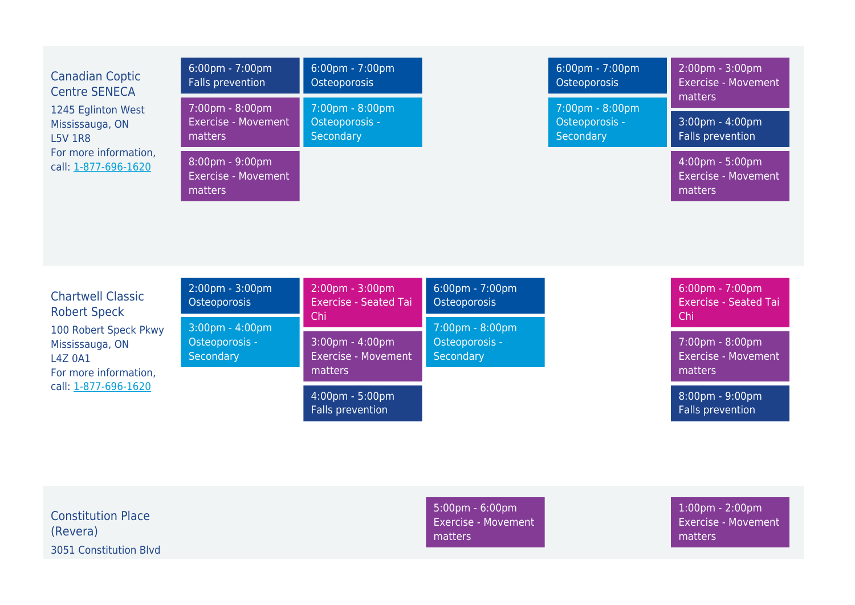| <b>Canadian Coptic</b><br><b>Centre SENECA</b><br>1245 Eglinton West<br>Mississauga, ON<br><b>L5V 1R8</b><br>For more information,<br>call: 1-877-696-1620 | 6:00pm - 7:00pm<br>Falls prevention                      | 6:00pm - 7:00pm<br>Osteoporosis                                 |                                                   | 6:00pm - 7:00pm<br>Osteoporosis                                  | 2:00pm - 3:00pm<br><b>Exercise - Movement</b><br>matters                 |
|------------------------------------------------------------------------------------------------------------------------------------------------------------|----------------------------------------------------------|-----------------------------------------------------------------|---------------------------------------------------|------------------------------------------------------------------|--------------------------------------------------------------------------|
|                                                                                                                                                            | 7:00pm - 8:00pm<br><b>Exercise - Movement</b><br>matters | 7:00pm - 8:00pm<br>Osteoporosis -<br>Secondary                  |                                                   | $7:00 \text{pm} - 8:00 \text{pm}$<br>Osteoporosis -<br>Secondary | $3:00 \text{pm} - 4:00 \text{pm}$<br>Falls prevention                    |
|                                                                                                                                                            | 8:00pm - 9:00pm<br><b>Exercise - Movement</b><br>matters |                                                                 |                                                   |                                                                  | 4:00pm - 5:00pm<br><b>Exercise - Movement</b><br>matters                 |
|                                                                                                                                                            |                                                          |                                                                 |                                                   |                                                                  |                                                                          |
| <b>Chartwell Classic</b><br><b>Robert Speck</b>                                                                                                            | 2:00pm - 3:00pm<br><b>Osteoporosis</b>                   | 2:00pm - 3:00pm<br><b>Exercise - Seated Tai</b><br>Chi          | $6:00 \text{pm} - 7:00 \text{pm}$<br>Osteoporosis |                                                                  | $6:00 \text{pm} - 7:00 \text{pm}$<br><b>Exercise - Seated Tai</b><br>Chi |
| 100 Robert Speck Pkwy<br>Mississauga, ON<br><b>L4Z 0A1</b><br>For more information,<br>call: 1-877-696-1620                                                | 3:00pm - 4:00pm<br>Osteoporosis -<br>Secondary           | 3:00pm - 4:00pm<br><b>Exercise - Movement</b><br><b>matters</b> | 7:00pm - 8:00pm<br>Osteoporosis -<br>Secondary    |                                                                  | 7:00pm - 8:00pm<br><b>Exercise - Movement</b><br>matters                 |
|                                                                                                                                                            |                                                          | 4:00pm - 5:00pm<br>Falls prevention                             |                                                   |                                                                  | 8:00pm - 9:00pm<br><b>Falls prevention</b>                               |

Constitution Place (Revera) 3051 Constitution Blvd 5:00pm - 6:00pm Exercise - Movement matters

1:00pm - 2:00pm Exercise - Movement matters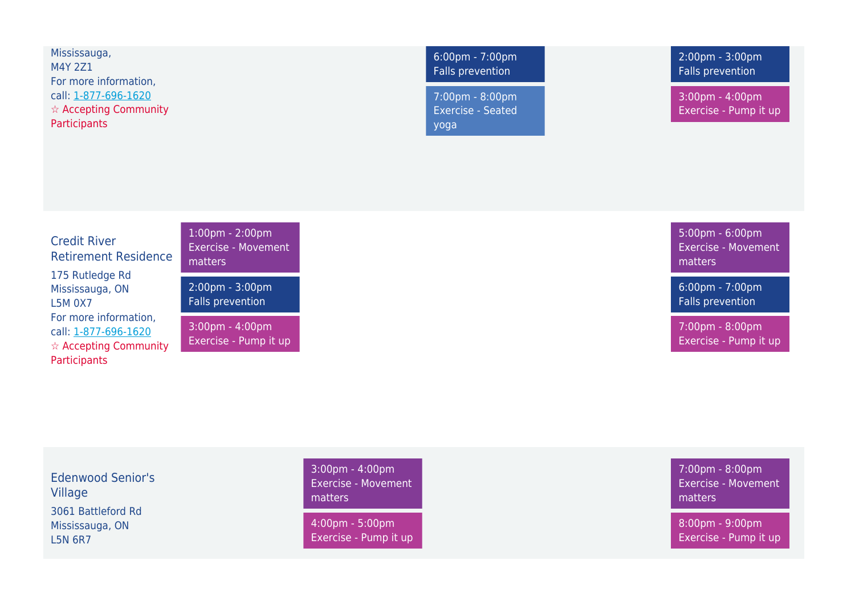Mississauga, M4Y 2Z1 For more information, call: [1-877-696-1620](#page--1-0) ☆ Accepting Community **Participants** 

Credit River

L5M 0X7

**Participants** 

175 Rutledge Rd Mississauga, ON

For more information, call: [1-877-696-1620](#page--1-0) ☆ Accepting Community

Retirement Residence

6:00pm - 7:00pm Falls prevention

7:00pm - 8:00pm Exercise - Seated yoga

2:00pm - 3:00pm Falls prevention

3:00pm - 4:00pm Exercise - Pump it up

5:00pm - 6:00pm Exercise - Movement matters

6:00pm - 7:00pm Falls prevention

7:00pm - 8:00pm Exercise - Pump it up

Edenwood Senior's Village 3061 Battleford Rd Mississauga, ON L5N 6R7

1:00pm - 2:00pm Exercise - Movement matters

2:00pm - 3:00pm Falls prevention

3:00pm - 4:00pm Exercise - Pump it up

> 3:00pm - 4:00pm Exercise - Movement matters

4:00pm - 5:00pm Exercise - Pump it up 7:00pm - 8:00pm Exercise - Movement matters

8:00pm - 9:00pm Exercise - Pump it up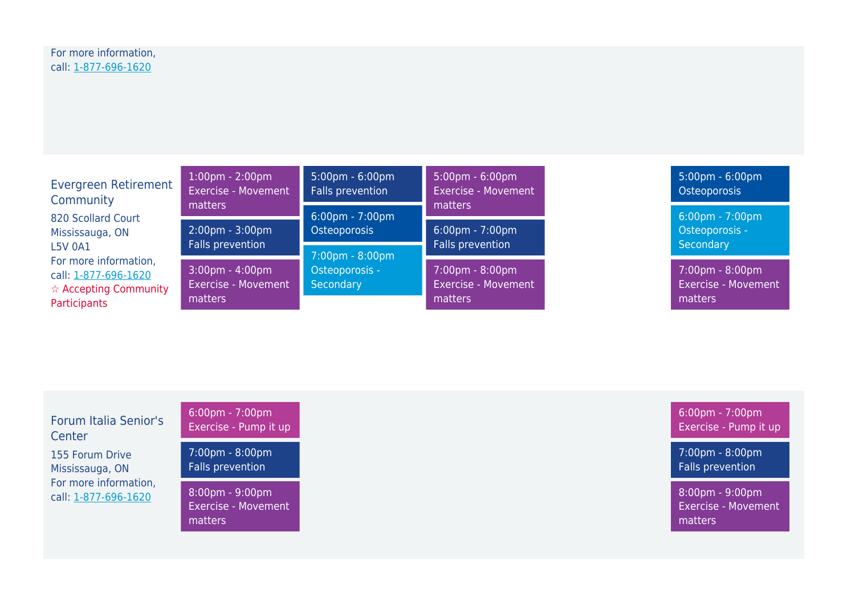| <b>Evergreen Retirement</b><br>Community                                                                | $1:00 \text{pm} - 2:00 \text{pm}$<br>Exercise - Movement            | $5:00 \text{pm} - 6:00 \text{pm}$<br>Falls prevention | $5:00 \text{pm} - 6:00 \text{pm}$<br><b>Exercise - Movement</b> | $5:00 \text{pm} - 6:00 \text{pm}$<br>Osteoporosis        |
|---------------------------------------------------------------------------------------------------------|---------------------------------------------------------------------|-------------------------------------------------------|-----------------------------------------------------------------|----------------------------------------------------------|
| 820 Scollard Court                                                                                      | matters                                                             | $6:00 \text{pm} - 7:00 \text{pm}$                     | matters                                                         | $6:00 \text{pm} - 7:00 \text{pm}$                        |
| Mississauga, ON                                                                                         | $2:00 \text{pm} - 3:00 \text{pm}$                                   | Osteoporosis                                          | $6:00 \text{pm} - 7:00 \text{pm}$                               | Osteoporosis -                                           |
| <b>L5V 0A1</b>                                                                                          | Falls prevention                                                    | 7:00pm - 8:00pm                                       | Falls prevention                                                | Secondary                                                |
| For more information,<br>call: 1-877-696-1620<br>$\hat{\mathbf{x}}$ Accepting Community<br>Participants | $3:00 \text{pm} - 4:00 \text{pm}$<br>Exercise - Movement<br>matters | Osteoporosis -<br>Secondary                           | 7:00pm - 8:00pm<br>Exercise - Movement<br>matters               | 7:00pm - 8:00pm<br><b>Exercise - Movement</b><br>matters |

| Forum Italia Senior's                         | $6:00 \text{pm} - 7:00 \text{pm}$                                          |
|-----------------------------------------------|----------------------------------------------------------------------------|
| Center                                        | Exercise - Pump it up                                                      |
| 155 Forum Drive                               | $7:00 \text{pm} - 8:00 \text{pm}$                                          |
| Mississauga, ON                               | <b>Falls prevention</b>                                                    |
| For more information,<br>call: 1-877-696-1620 | $8:00 \text{pm} - 9:00 \text{pm}$<br><b>Exercise - Movement</b><br>matters |

6:00pm - 7:00pm Exercise - Pump it up

7:00pm - 8:00pm Falls prevention

8:00pm - 9:00pm Exercise - Movement matters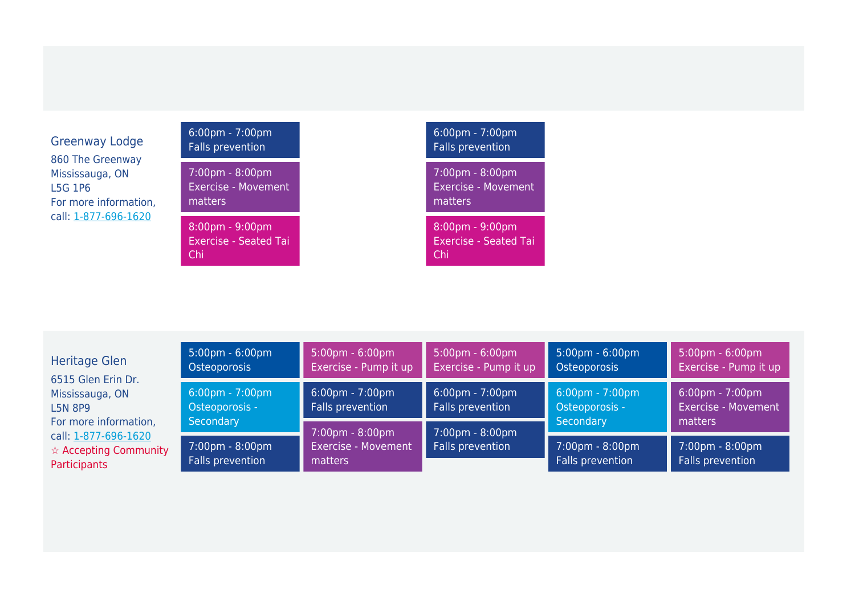# Greenway Lodge 860 The Greenway Mississauga, ON L5G 1P6 For more information, call: [1-877-696-1620](#page--1-0)

6:00pm - 7:00pm Falls prevention 7:00pm - 8:00pm Exercise - Movement matters

8:00pm - 9:00pm Exercise - Seated Tai Chi

# 6:00pm - 7:00pm Falls prevention 7:00pm - 8:00pm Exercise - Movement matters 8:00pm - 9:00pm

Exercise - Seated Tai Chi

Heritage Glen 6515 Glen Erin Dr. Mississauga, ON L5N 8P9 For more information, call: [1-877-696-1620](#page--1-0) ☆ Accepting Community **Participants** 

| $5:00 \text{pm} - 6:00 \text{pm}$<br>Osteoporosis                | $5:00 \text{pm} - 6:00 \text{pm}$<br>Exercise - Pump it up | $5:00 \text{pm} - 6:00 \text{pm}$<br>Exercise - Pump it up | $5:00 \text{pm} - 6:00 \text{pm}$<br>Osteoporosis                | $5:00 \text{pm} - 6:00 \text{pm}$<br>Exercise - Pump it up                 |  |
|------------------------------------------------------------------|------------------------------------------------------------|------------------------------------------------------------|------------------------------------------------------------------|----------------------------------------------------------------------------|--|
| $6:00 \text{pm} - 7:00 \text{pm}$<br>Osteoporosis -<br>Secondary | $6:00 \text{pm} - 7:00 \text{pm}$<br>Falls prevention      | $6:00 \text{pm} - 7:00 \text{pm}$<br>Falls prevention      | $6:00 \text{pm} - 7:00 \text{pm}$<br>Osteoporosis -<br>Secondary | $6:00 \text{pm} - 7:00 \text{pm}$<br><b>Exercise - Movement</b><br>matters |  |
|                                                                  | 7:00pm - 8:00pm                                            | 7:00pm - 8:00pm                                            |                                                                  |                                                                            |  |
| 7:00pm - 8:00pm<br>Falls prevention                              | <b>Exercise - Movement</b><br>matters                      | Falls prevention                                           | 7:00pm - 8:00pm<br>Falls prevention                              | 7:00pm - 8:00pm<br>Falls prevention                                        |  |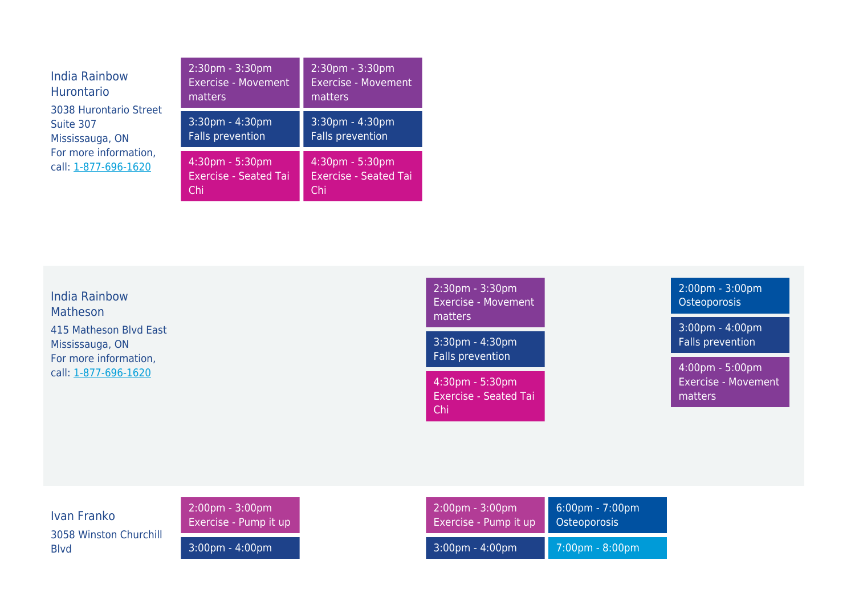| <b>India Rainbow</b><br><b>Hurontario</b>              | 2:30pm - 3:30pm<br><b>Exercise - Movement</b><br>matters | $2:30pm - 3:30pm$<br><b>Exercise - Movement</b><br>matters |
|--------------------------------------------------------|----------------------------------------------------------|------------------------------------------------------------|
| 3038 Hurontario Street<br>Suite 307<br>Mississauga, ON | 3:30pm - 4:30pm<br>Falls prevention                      | $3:30pm - 4:30pm$<br><b>Falls prevention</b>               |
| For more information,<br>call: 1-877-696-1620          | 4:30pm - 5:30pm<br><b>Exercise - Seated Tai</b><br>Chi   | 4:30pm - 5:30pm<br><b>Exercise - Seated Tai</b><br>'Chii   |

India Rainbow Matheson 415 Matheson Blvd East Mississauga, ON For more information, call: [1-877-696-1620](#page--1-0)

2:30pm - 3:30pm Exercise - Movement matters 3:30pm - 4:30pm Falls prevention

4:30pm - 5:30pm Exercise - Seated Tai Chi

2:00pm - 3:00pm Osteoporosis

3:00pm - 4:00pm Falls prevention

4:00pm - 5:00pm Exercise - Movement matters

Ivan Franko 3058 Winston Churchill Blvd

2:00pm - 3:00pm Exercise - Pump it up

3:00pm - 4:00pm

| $2:00 \text{pm} - 3:00 \text{pm}$ | $6:00 \text{pm} - 7:00 \text{pm}$ |
|-----------------------------------|-----------------------------------|
| Exercise - Pump it up             | Osteoporosis                      |
| $3:00$ pm - 4:00pm                | $7:00$ pm - 8:00pm                |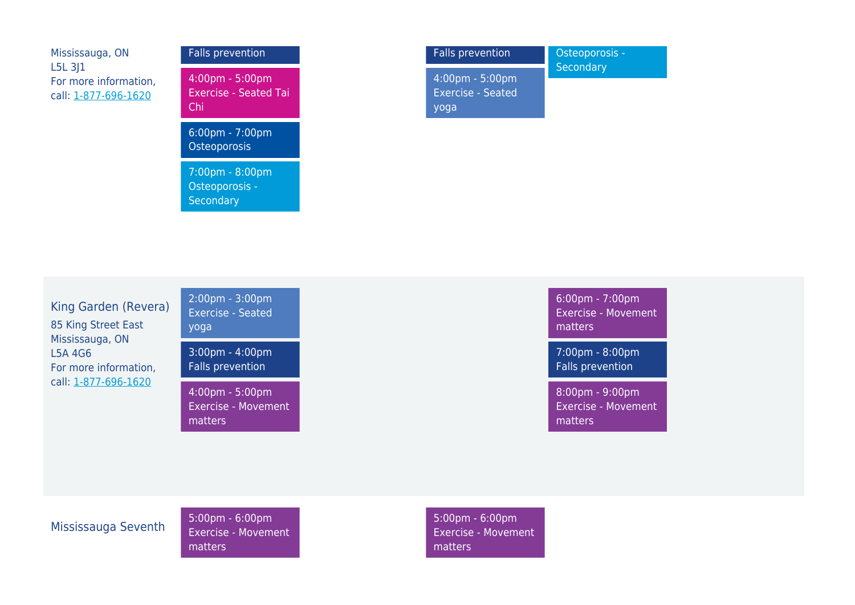| Mississauga, ON                                            | Falls               |
|------------------------------------------------------------|---------------------|
| $L5L$ 3J1<br>For more information,<br>call: 1-877-696-1620 | 4:00<br>Exer<br>Chi |
|                                                            | 6:00                |

| <b>Falls prevention</b>                                                  |
|--------------------------------------------------------------------------|
| $4:00 \text{pm} - 5:00 \text{pm}$<br><b>Exercise - Seated Tai</b><br>Chi |
| $6:00 \text{pm} - 7:00 \text{pm}$<br>Osteoporosis                        |
| 7:00pm - 8:00pm<br>Osteoporosis -<br>Secondary                           |

| <b>Falls prevention</b>                                               | Osteoporosis - |
|-----------------------------------------------------------------------|----------------|
| $4:00 \text{pm} - 5:00 \text{pm}$<br><b>Exercise - Seated</b><br>yoga | Secondary      |

King Garden (Revera) 85 King Street East Mississauga, ON L5A 4G6 For more information, call: [1-877-696-1620](#page--1-0)



3:00pm - 4:00pm Falls prevention

4:00pm - 5:00pm Exercise - Movement matters

6:00pm - 7:00pm Exercise - Movement matters

7:00pm - 8:00pm Falls prevention

8:00pm - 9:00pm Exercise - Movement matters

Mississauga Seventh 5:00pm - 6:00pm Exercise - Movement matters

5:00pm - 6:00pm Exercise - Movement matters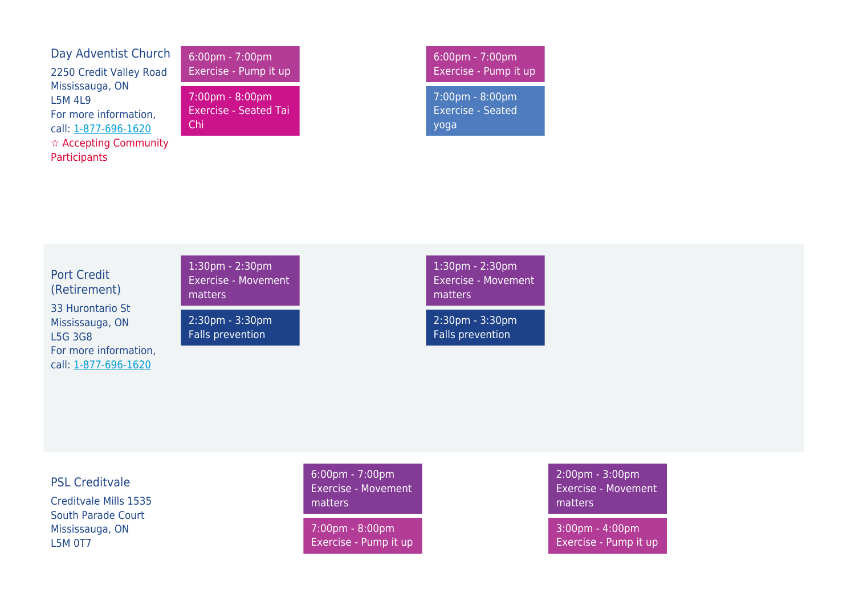| Day Adventist Church                   |
|----------------------------------------|
| 2250 Credit Valley Road                |
| Mississauga, ON                        |
| 15M 419                                |
| For more information,                  |
| call: 1-877-696-1620                   |
| $\hat{\mathbf{x}}$ Accepting Community |
| Participants                           |

6:00pm - 7:00pm Exercise - Pump it up

7:00pm - 8:00pm Exercise - Seated Tai Chi

6:00pm - 7:00pm Exercise - Pump it up

7:00pm - 8:00pm Exercise - Seated yoga

Port Credit (Retirement) 33 Hurontario St Mississauga, ON L5G 3G8 For more information, call: [1-877-696-1620](#page--1-0)

1:30pm - 2:30pm Exercise - Movement matters

2:30pm - 3:30pm Falls prevention

1:30pm - 2:30pm Exercise - Movement matters

2:30pm - 3:30pm Falls prevention

#### PSL Creditvale

Creditvale Mills 1535 South Parade Court Mississauga, ON L5M 0T7

6:00pm - 7:00pm Exercise - Movement matters

7:00pm - 8:00pm Exercise - Pump it up 2:00pm - 3:00pm Exercise - Movement matters

3:00pm - 4:00pm Exercise - Pump it up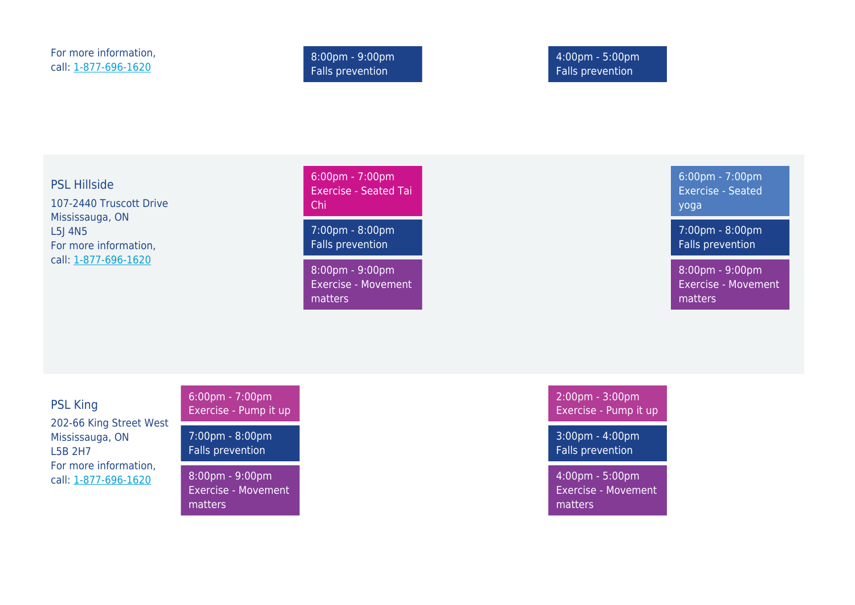8:00pm - 9:00pm Falls prevention

4:00pm - 5:00pm Falls prevention

PSL Hillside 107-2440 Truscott Drive Mississauga, ON L5J 4N5 For more information, call: [1-877-696-1620](#page--1-0)

6:00pm - 7:00pm Exercise - Seated Tai Chi

7:00pm - 8:00pm Falls prevention

8:00pm - 9:00pm Exercise - Movement matters

6:00pm - 7:00pm Exercise - Seated yoga

7:00pm - 8:00pm Falls prevention

8:00pm - 9:00pm Exercise - Movement matters

PSL King 202-66 King Street West Mississauga, ON L5B 2H7 For more information, call: [1-877-696-1620](#page--1-0)

6:00pm - 7:00pm Exercise - Pump it up

7:00pm - 8:00pm Falls prevention

8:00pm - 9:00pm Exercise - Movement matters

2:00pm - 3:00pm Exercise - Pump it up

3:00pm - 4:00pm Falls prevention

4:00pm - 5:00pm Exercise - Movement matters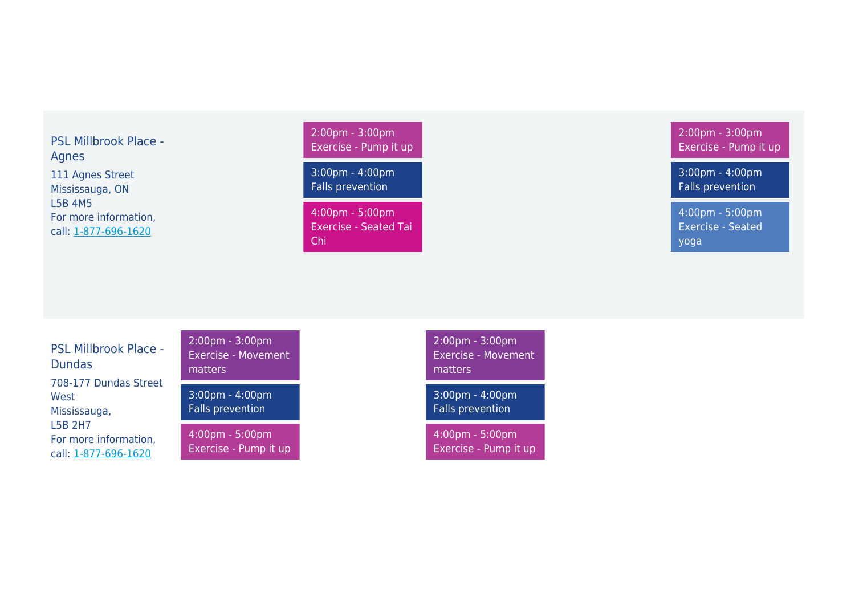# PSL Millbrook Place - Agnes 111 Agnes Street Mississauga, ON L5B 4M5 For more information,

call: [1-877-696-1620](#page--1-0)

2:00pm - 3:00pm Exercise - Pump it up

3:00pm - 4:00pm Falls prevention

4:00pm - 5:00pm Exercise - Seated Tai Chi

2:00pm - 3:00pm Exercise - Pump it up

3:00pm - 4:00pm Falls prevention

4:00pm - 5:00pm Exercise - Seated yoga

PSL Millbrook Place - Dundas 708-177 Dundas Street West Mississauga, L5B 2H7 For more information, call: [1-877-696-1620](#page--1-0)

2:00pm - 3:00pm Exercise - Movement matters

3:00pm - 4:00pm Falls prevention

4:00pm - 5:00pm Exercise - Pump it up 2:00pm - 3:00pm Exercise - Movement matters

3:00pm - 4:00pm Falls prevention

4:00pm - 5:00pm Exercise - Pump it up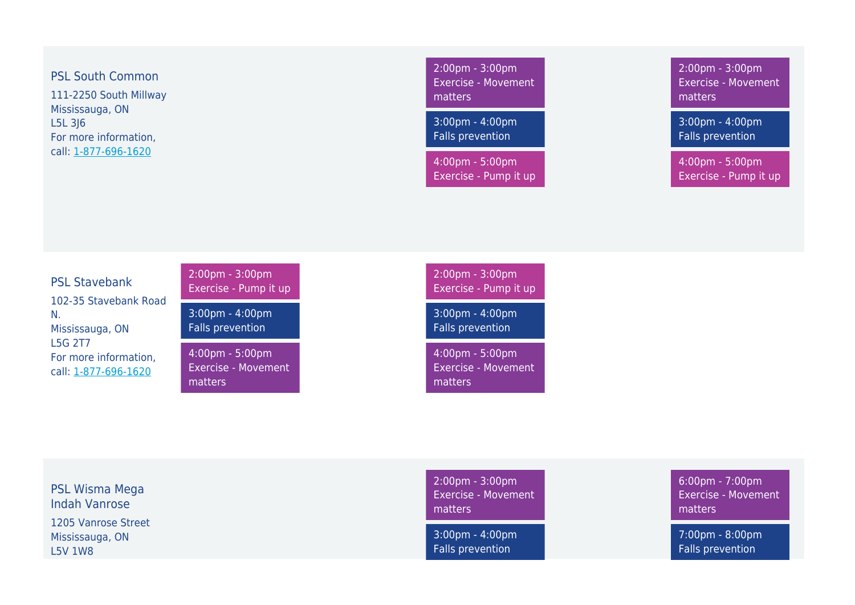PSL South Common

111-2250 South Millway Mississauga, ON L5L 3J6 For more information, call: [1-877-696-1620](#page--1-0)

2:00pm - 3:00pm Exercise - Movement matters

3:00pm - 4:00pm Falls prevention

4:00pm - 5:00pm Exercise - Pump it up 2:00pm - 3:00pm Exercise - Movement matters

3:00pm - 4:00pm Falls prevention

4:00pm - 5:00pm Exercise - Pump it up

PSL Stavebank 102-35 Stavebank Road N. Mississauga, ON L5G 2T7 For more information, call: [1-877-696-1620](#page--1-0)

2:00pm - 3:00pm Exercise - Pump it up

3:00pm - 4:00pm Falls prevention

4:00pm - 5:00pm Exercise - Movement matters

2:00pm - 3:00pm Exercise - Pump it up

3:00pm - 4:00pm Falls prevention

4:00pm - 5:00pm Exercise - Movement matters

PSL Wisma Mega Indah Vanrose 1205 Vanrose Street Mississauga, ON L5V 1W8

2:00pm - 3:00pm Exercise - Movement matters

3:00pm - 4:00pm Falls prevention

6:00pm - 7:00pm Exercise - Movement matters

7:00pm - 8:00pm Falls prevention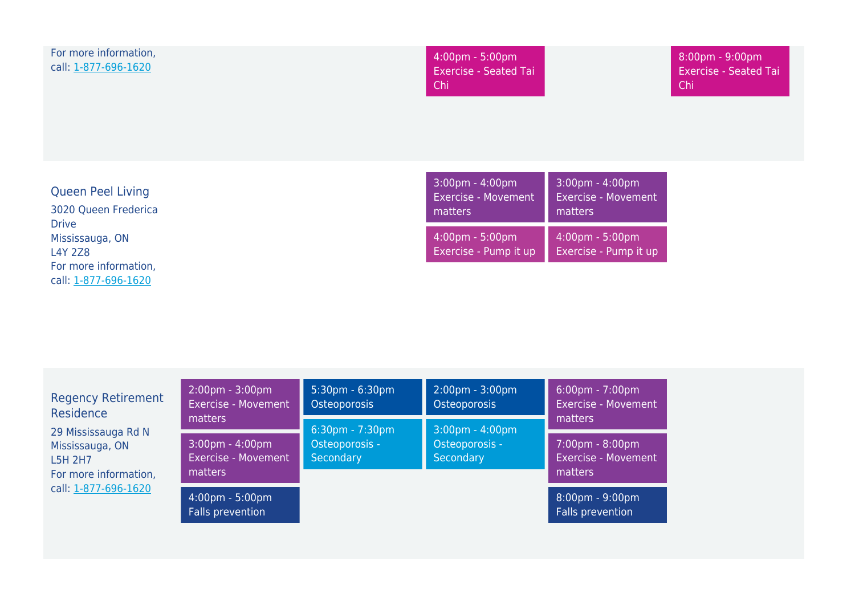| For more information,<br>call: 1-877-696-1620                                                      | 4:00pm - 5:00pm<br><b>Exercise - Seated Tai</b><br>Chi                     |                                                          | 8:00pm - 9:00pm<br><b>Exercise - Seated Tai</b><br>Chi |
|----------------------------------------------------------------------------------------------------|----------------------------------------------------------------------------|----------------------------------------------------------|--------------------------------------------------------|
| <b>Queen Peel Living</b><br>3020 Queen Frederica                                                   | $3:00 \text{pm} - 4:00 \text{pm}$<br><b>Exercise - Movement</b><br>matters | 3:00pm - 4:00pm<br><b>Exercise - Movement</b><br>matters |                                                        |
| <b>Drive</b><br>Mississauga, ON<br><b>L4Y 2Z8</b><br>For more information,<br>call: 1-877-696-1620 | $4:00 \text{pm} - 5:00 \text{pm}$<br>Exercise - Pump it up                 | 4:00pm - 5:00pm<br>Exercise - Pump it up                 |                                                        |

| <b>Regency Retirement</b><br>Residence                                                                    | $2:00 \text{pm} - 3:00 \text{pm}$<br><b>Exercise - Movement</b><br>matters<br>$3:00 \text{pm} - 4:00 \text{pm}$<br><b>Exercise - Movement</b><br>matters | $5:30 \text{pm} - 6:30 \text{pm}$<br>Osteoporosis                                                                                               | $2:00 \text{pm} - 3:00 \text{pm}$<br>Osteoporosis | $6:00 \text{pm} - 7:00 \text{pm}$<br><b>Exercise - Movement</b><br>matters |
|-----------------------------------------------------------------------------------------------------------|----------------------------------------------------------------------------------------------------------------------------------------------------------|-------------------------------------------------------------------------------------------------------------------------------------------------|---------------------------------------------------|----------------------------------------------------------------------------|
| 29 Mississauga Rd N<br>Mississauga, ON<br><b>L5H 2H7</b><br>For more information,<br>call: 1-877-696-1620 |                                                                                                                                                          | $3:00 \text{pm} - 4:00 \text{pm}$<br>$6:30 \text{pm} - 7:30 \text{pm}$<br>Osteoporosis -<br>Osteoporosis -<br>Secondary<br>Secondary<br>matters | 7:00pm - 8:00pm<br>Exercise - Movement            |                                                                            |
|                                                                                                           | $4:00 \text{pm} - 5:00 \text{pm}$<br>Falls prevention                                                                                                    |                                                                                                                                                 |                                                   | $8:00 \text{pm} - 9:00 \text{pm}$<br>Falls prevention                      |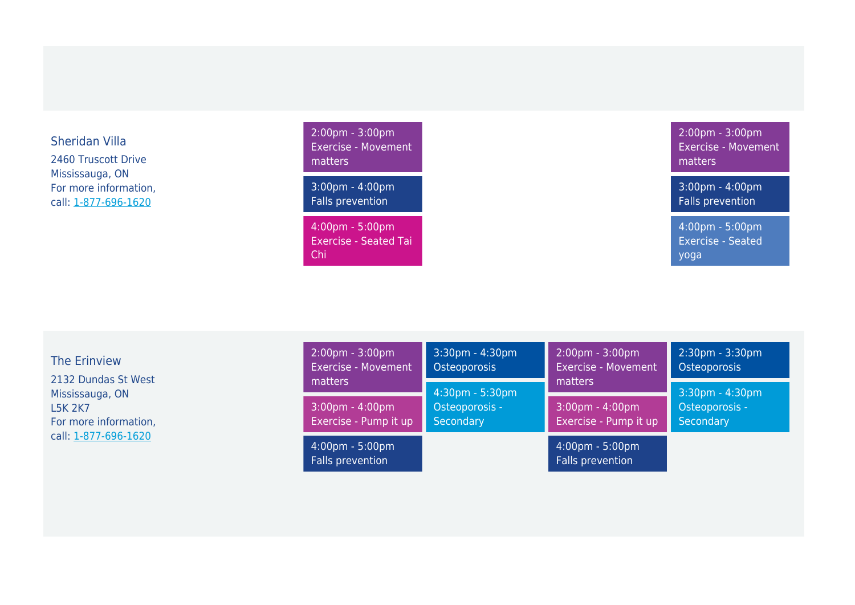### Sheridan Villa

2460 Truscott Drive Mississauga, ON For more information, call: [1-877-696-1620](#page--1-0)

2:00pm - 3:00pm Exercise - Movement matters 3:00pm - 4:00pm

Falls prevention

4:00pm - 5:00pm Exercise - Seated Tai Chi

2:00pm - 3:00pm Exercise - Movement matters

3:00pm - 4:00pm Falls prevention

4:00pm - 5:00pm Exercise - Seated yoga

The Erinview 2132 Dundas St West Mississauga, ON L5K 2K7 For more information, call: [1-877-696-1620](#page--1-0)

| $2:00 \text{pm} - 3:00 \text{pm}$<br><b>Exercise - Movement</b><br>matters | $3:30$ pm - 4:30pm<br>Osteoporosis             | $2:00 \text{pm} - 3:00 \text{pm}$<br><b>Exercise - Movement</b><br>matters | 2:30pm - 3:30pm<br>Osteoporosis                |
|----------------------------------------------------------------------------|------------------------------------------------|----------------------------------------------------------------------------|------------------------------------------------|
| $3:00 \text{pm} - 4:00 \text{pm}$<br>Exercise - Pump it up                 | 4:30pm - 5:30pm<br>Osteoporosis -<br>Secondary | 3:00pm - 4:00pm<br>Exercise - Pump it up                                   | 3:30pm - 4:30pm<br>Osteoporosis -<br>Secondary |
| $4:00 \text{pm} - 5:00 \text{pm}$<br>Falls prevention                      |                                                | 4:00pm - 5:00pm<br>Falls prevention                                        |                                                |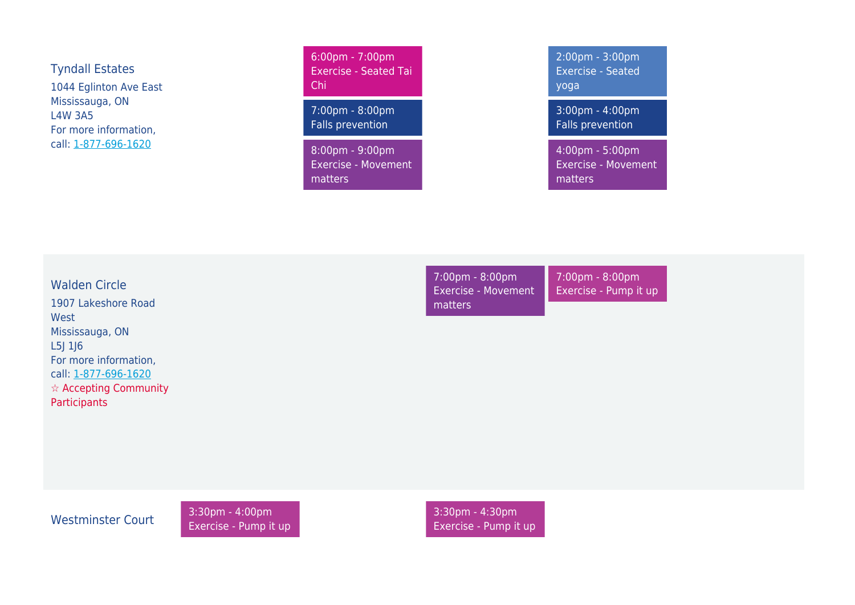Tyndall Estates 1044 Eglinton Ave East Mississauga, ON L4W 3A5 For more information, call: [1-877-696-1620](#page--1-0)

6:00pm - 7:00pm Exercise - Seated Tai Chi

7:00pm - 8:00pm Falls prevention

8:00pm - 9:00pm Exercise - Movement matters

2:00pm - 3:00pm Exercise - Seated yoga

3:00pm - 4:00pm Falls prevention

4:00pm - 5:00pm Exercise - Movement matters

Walden Circle 1907 Lakeshore Road West Mississauga, ON L5J 1J6 For more information, call: [1-877-696-1620](#page--1-0) ☆ Accepting Community **Participants** 

7:00pm - 8:00pm Exercise - Movement matters

7:00pm - 8:00pm Exercise - Pump it up

Westminster Court 3:30pm - 4:00pm Exercise - Pump it up 3:30pm - 4:30pm Exercise - Pump it up